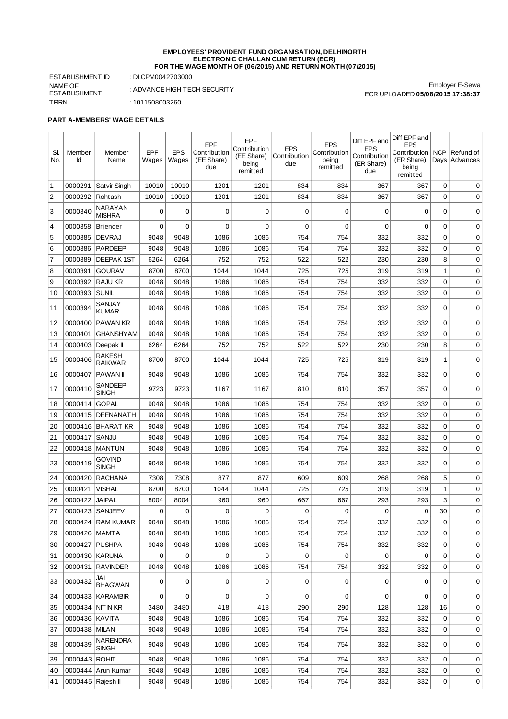## **EMPLOYEES' PROVIDENT FUND ORGANISATION, DELHINORTH ELECTRONIC CHALLAN CUM RETURN (ECR) FOR THE WAGE MONTH OF (06/2015) AND RETURN MONTH (07/2015)**

Employer E-Sewa

ECR UPLOADED **05/08/2015 17:38:37**

ESTABLISHMENT ID : DLCPM0042703000 NAME OF ESTABLISHMENT TRRN : 1011508003260

 $\blacksquare$  $\overline{\phantom{0}}$  : ADVANCE HIGH TECH SECURITY

÷

## **PART A-MEMBERS' WAGE DETAILS**

 $\overline{1}$ 

| SI.            | Member              | Member                   | EPF         | <b>EPS</b>  | <b>EPF</b><br>Contribution | <b>EPF</b><br>Contribution      | <b>EPS</b>          | <b>EPS</b><br>Contribution | Diff EPF and<br><b>EPS</b>        | Diff EPF and<br><b>EPS</b><br>Contribution | NCP          | Refund of       |
|----------------|---------------------|--------------------------|-------------|-------------|----------------------------|---------------------------------|---------------------|----------------------------|-----------------------------------|--------------------------------------------|--------------|-----------------|
| No.            | Id                  | Name                     | Wages       | Wages       | (EE Share)<br>due          | (EE Share)<br>being<br>remitted | Contribution<br>due | being<br>remitted          | Contribution<br>(ER Share)<br>due | (ER Share)<br>being<br>remitted            |              | Days   Advances |
| $\mathbf{1}$   | 0000291             | Satvir Singh             | 10010       | 10010       | 1201                       | 1201                            | 834                 | 834                        | 367                               | 367                                        | 0            | 0               |
| $\overline{c}$ | 0000292             | Rohtash                  | 10010       | 10010       | 1201                       | 1201                            | 834                 | 834                        | 367                               | 367                                        | 0            | $\mathbf 0$     |
| 3              | 0000340             | NARAYAN<br><b>MISHRA</b> | $\mathbf 0$ | 0           | 0                          | 0                               | 0                   | 0                          | 0                                 | 0                                          | 0            | 0               |
| 4              | 0000358             | Brijender                | $\mathbf 0$ | $\mathbf 0$ | $\mathbf 0$                | $\mathbf 0$                     | $\mathbf 0$         | $\mathbf 0$                | 0                                 | $\Omega$                                   | 0            | 0               |
| 5              | 0000385             | <b>DEVRAJ</b>            | 9048        | 9048        | 1086                       | 1086                            | 754                 | 754                        | 332                               | 332                                        | 0            | 0               |
| 6              | 0000386             | <b>PARDEEP</b>           | 9048        | 9048        | 1086                       | 1086                            | 754                 | 754                        | 332                               | 332                                        | 0            | 0               |
| $\overline{7}$ | 0000389             | <b>DEEPAK1ST</b>         | 6264        | 6264        | 752                        | 752                             | 522                 | 522                        | 230                               | 230                                        | 8            | 0               |
| 8              | 0000391             | <b>GOURAV</b>            | 8700        | 8700        | 1044                       | 1044                            | 725                 | 725                        | 319                               | 319                                        | $\mathbf{1}$ | $\mathbf 0$     |
| 9              | 0000392             | <b>RAJU KR</b>           | 9048        | 9048        | 1086                       | 1086                            | 754                 | 754                        | 332                               | 332                                        | 0            | $\mathbf 0$     |
| 10             | 0000393             | <b>SUNIL</b>             | 9048        | 9048        | 1086                       | 1086                            | 754                 | 754                        | 332                               | 332                                        | 0            | $\mathbf 0$     |
| 11             | 0000394             | SANJAY<br><b>KUMAR</b>   | 9048        | 9048        | 1086                       | 1086                            | 754                 | 754                        | 332                               | 332                                        | 0            | 0               |
| 12             | 0000400             | <b>PAWAN KR</b>          | 9048        | 9048        | 1086                       | 1086                            | 754                 | 754                        | 332                               | 332                                        | 0            | $\mathbf 0$     |
| 13             | 0000401             | GHANSHYAM                | 9048        | 9048        | 1086                       | 1086                            | 754                 | 754                        | 332                               | 332                                        | 0            | 0               |
| 14             | 0000403   Deepak II |                          | 6264        | 6264        | 752                        | 752                             | 522                 | 522                        | 230                               | 230                                        | 8            | 0               |
| 15             | 0000406             | RAKESH<br><b>RAIKWAR</b> | 8700        | 8700        | 1044                       | 1044                            | 725                 | 725                        | 319                               | 319                                        | $\mathbf 1$  | $\mathbf 0$     |
| 16             | 0000407             | <b>PAWAN</b>             | 9048        | 9048        | 1086                       | 1086                            | 754                 | 754                        | 332                               | 332                                        | 0            | 0               |
| 17             | 0000410             | SANDEEP<br><b>SINGH</b>  | 9723        | 9723        | 1167                       | 1167                            | 810                 | 810                        | 357                               | 357                                        | 0            | $\mathbf 0$     |
| 18             | 0000414             | <b>GOPAL</b>             | 9048        | 9048        | 1086                       | 1086                            | 754                 | 754                        | 332                               | 332                                        | 0            | 0               |
| 19             | 0000415             | <b>DEENANATH</b>         | 9048        | 9048        | 1086                       | 1086                            | 754                 | 754                        | 332                               | 332                                        | 0            | $\mathbf 0$     |
| 20             |                     | 0000416 BHARAT KR        | 9048        | 9048        | 1086                       | 1086                            | 754                 | 754                        | 332                               | 332                                        | 0            | $\mathbf 0$     |
| 21             | 0000417             | SANJU                    | 9048        | 9048        | 1086                       | 1086                            | 754                 | 754                        | 332                               | 332                                        | 0            | $\mathbf 0$     |
| 22             | 0000418             | MANTUN                   | 9048        | 9048        | 1086                       | 1086                            | 754                 | 754                        | 332                               | 332                                        | 0            | $\mathbf 0$     |
| 23             | 0000419             | govind<br><b>SINGH</b>   | 9048        | 9048        | 1086                       | 1086                            | 754                 | 754                        | 332                               | 332                                        | 0            | $\mathbf 0$     |
| 24             | 0000420             | <b>RACHANA</b>           | 7308        | 7308        | 877                        | 877                             | 609                 | 609                        | 268                               | 268                                        | 5            | 0               |
| 25             | 0000421             | <b>VISHAL</b>            | 8700        | 8700        | 1044                       | 1044                            | 725                 | 725                        | 319                               | 319                                        | $\mathbf 1$  | $\mathbf 0$     |
| 26             | 0000422             | <b>JAIPAL</b>            | 8004        | 8004        | 960                        | 960                             | 667                 | 667                        | 293                               | 293                                        | 3            | 0               |
| 27             | 0000423             | <b>SANJEEV</b>           | $\mathbf 0$ | 0           | 0                          | 0                               | 0                   | 0                          | 0                                 | 0                                          | 30           | 0               |
| 28             |                     | 0000424 RAM KUMAR        | 9048        | 9048        | 1086                       | 1086                            | 754                 | 754                        | 332                               | 332                                        | 0            | 0               |
| 29             | 0000426 MAMTA       |                          | 9048        | 9048        | 1086                       | 1086                            | 754                 | 754                        | 332                               | 332                                        | $\Omega$     | 0               |
| 30             | 0000427 PUSHPA      |                          | 9048        | 9048        | 1086                       | 1086                            | 754                 | 754                        | 332                               | 332                                        | 0            | 0               |
| 31             | 0000430 KARUNA      |                          | $\mathbf 0$ | 0           | $\mathbf 0$                | 0                               | $\mathbf 0$         | 0                          | 0                                 | $\mathbf 0$                                | 0            | $\mathbf 0$     |
| 32             |                     | 0000431 RAVINDER         | 9048        | 9048        | 1086                       | 1086                            | 754                 | 754                        | 332                               | 332                                        | 0            | 0               |
| 33             | 0000432             | JAI<br><b>BHAGWAN</b>    | 0           | 0           | 0                          | 0                               | 0                   | 0                          | 0                                 | 0                                          | 0            | 0               |
| 34             |                     | 0000433   KARAMBIR       | $\mathbf 0$ | 0           | $\mathbf 0$                | $\mathbf 0$                     | $\mathbf 0$         | 0                          | 0                                 | 0                                          | 0            | 0               |
| 35             | 0000434 NITIN KR    |                          | 3480        | 3480        | 418                        | 418                             | 290                 | 290                        | 128                               | 128                                        | 16           | 0               |
| 36             | 0000436 KAVITA      |                          | 9048        | 9048        | 1086                       | 1086                            | 754                 | 754                        | 332                               | 332                                        | 0            | 0               |
| 37             | 0000438 MILAN       |                          | 9048        | 9048        | 1086                       | 1086                            | 754                 | 754                        | 332                               | 332                                        | 0            | 0               |
| 38             | 0000439             | NARENDRA<br><b>SINGH</b> | 9048        | 9048        | 1086                       | 1086                            | 754                 | 754                        | 332                               | 332                                        | 0            | 0               |
| 39             | 0000443 ROHIT       |                          | 9048        | 9048        | 1086                       | 1086                            | 754                 | 754                        | 332                               | 332                                        | 0            | 0               |
| 40             |                     | 0000444 Arun Kumar       | 9048        | 9048        | 1086                       | 1086                            | 754                 | 754                        | 332                               | 332                                        | 0            | 0               |
| 41             | 0000445 Rajesh II   |                          | 9048        | 9048        | 1086                       | 1086                            | 754                 | 754                        | 332                               | 332                                        | 0            | 0               |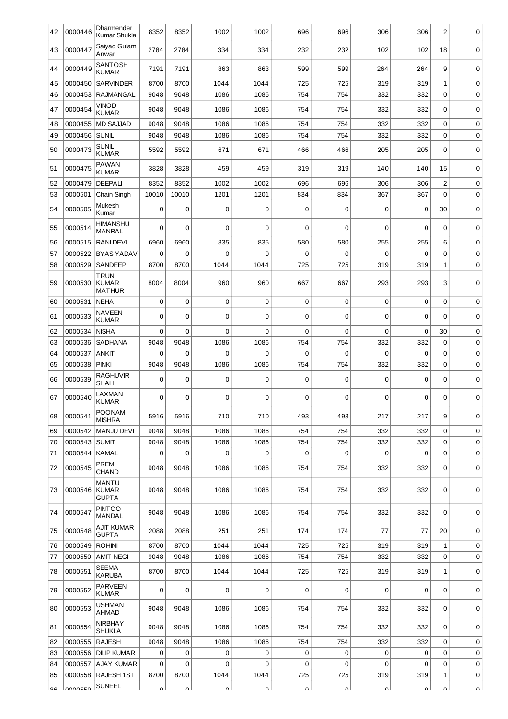| 42 | 0000446        | Dharmender<br>Kumar Shukla                   | 8352        | 8352        | 1002        | 1002        | 696         | 696         | 306         | 306         | 2            | 0           |
|----|----------------|----------------------------------------------|-------------|-------------|-------------|-------------|-------------|-------------|-------------|-------------|--------------|-------------|
| 43 | 0000447        | Saiyad Gulam<br>Anwar                        | 2784        | 2784        | 334         | 334         | 232         | 232         | 102         | 102         | 18           | 0           |
| 44 | 0000449        | SANTOSH<br><b>KUMAR</b>                      | 7191        | 7191        | 863         | 863         | 599         | 599         | 264         | 264         | 9            | 0           |
| 45 | 0000450        | <b>SARVINDER</b>                             | 8700        | 8700        | 1044        | 1044        | 725         | 725         | 319         | 319         | 1            | 0           |
| 46 | 0000453        | <b>RAJMANGAL</b>                             | 9048        | 9048        | 1086        | 1086        | 754         | 754         | 332         | 332         | 0            | $\mathbf 0$ |
| 47 | 0000454        | VINOD<br><b>KUMAR</b>                        | 9048        | 9048        | 1086        | 1086        | 754         | 754         | 332         | 332         | 0            | 0           |
| 48 | 0000455        | <b>MD SAJJAD</b>                             | 9048        | 9048        | 1086        | 1086        | 754         | 754         | 332         | 332         | 0            | $\mathbf 0$ |
| 49 | 0000456        | <b>SUNIL</b>                                 | 9048        | 9048        | 1086        | 1086        | 754         | 754         | 332         | 332         | 0            | $\mathbf 0$ |
| 50 | 0000473        | <b>SUNIL</b><br><b>KUMAR</b>                 | 5592        | 5592        | 671         | 671         | 466         | 466         | 205         | 205         | 0            | 0           |
| 51 | 0000475        | <b>PAWAN</b><br><b>KUMAR</b>                 | 3828        | 3828        | 459         | 459         | 319         | 319         | 140         | 140         | 15           | $\mathbf 0$ |
| 52 | 0000479        | <b>DEEPALI</b>                               | 8352        | 8352        | 1002        | 1002        | 696         | 696         | 306         | 306         | 2            | 0           |
| 53 | 0000501        | Chain Singh                                  | 10010       | 10010       | 1201        | 1201        | 834         | 834         | 367         | 367         | 0            | 0           |
| 54 | 0000505        | Mukesh<br>Kumar                              | 0           | 0           | 0           | 0           | $\mathbf 0$ | 0           | 0           | 0           | 30           | $\mathbf 0$ |
| 55 | 0000514        | HIMANSHU<br><b>MANRAL</b>                    | $\mathbf 0$ | $\Omega$    | $\mathbf 0$ | $\mathbf 0$ | 0           | $\mathbf 0$ | 0           | $\Omega$    | 0            | $\mathbf 0$ |
| 56 | 0000515        | <b>RANIDEVI</b>                              | 6960        | 6960        | 835         | 835         | 580         | 580         | 255         | 255         | 6            | 0           |
| 57 | 0000522        | <b>BYAS YADAV</b>                            | 0           | 0           | 0           | $\mathbf 0$ | 0           | 0           | 0           | 0           | 0            | 0           |
| 58 | 0000529        | <b>SANDEEP</b>                               | 8700        | 8700        | 1044        | 1044        | 725         | 725         | 319         | 319         | $\mathbf 1$  | $\mathbf 0$ |
| 59 | 0000530        | <b>TRUN</b><br><b>KUMAR</b><br><b>MATHUR</b> | 8004        | 8004        | 960         | 960         | 667         | 667         | 293         | 293         | 3            | 0           |
| 60 | 0000531        | <b>NEHA</b>                                  | $\mathbf 0$ | $\mathbf 0$ | $\mathbf 0$ | $\mathbf 0$ | 0           | 0           | 0           | $\mathbf 0$ | 0            | $\mathbf 0$ |
| 61 | 0000533        | <b>NAVEEN</b><br><b>KUMAR</b>                | $\mathbf 0$ | $\mathbf 0$ | 0           | 0           | 0           | 0           | 0           | 0           | $\Omega$     | 0           |
| 62 | 0000534        | <b>NISHA</b>                                 | $\mathbf 0$ | 0           | $\mathbf 0$ | $\mathbf 0$ | $\mathbf 0$ | $\mathbf 0$ | $\mathbf 0$ | $\mathbf 0$ | 30           | $\mathbf 0$ |
| 63 | 0000536        | <b>SADHANA</b>                               | 9048        | 9048        | 1086        | 1086        | 754         | 754         | 332         | 332         | 0            | 0           |
| 64 | 0000537        | <b>ANKIT</b>                                 | 0           | $\mathbf 0$ | 0           | 0           | 0           | 0           | 0           | 0           | 0            | 0           |
| 65 | 0000538        | <b>PINKI</b>                                 | 9048        | 9048        | 1086        | 1086        | 754         | 754         | 332         | 332         | 0            | $\mathbf 0$ |
| 66 | 0000539        | <b>RAGHUVIR</b><br><b>SHAH</b>               | $\mathbf 0$ | $\mathbf 0$ | $\mathbf 0$ | 0           | 0           | $\mathbf 0$ | 0           | $\mathbf 0$ | 0            | 0           |
| 67 | 0000540        | LAXMAN<br><b>KUMAR</b>                       | $\mathbf 0$ | $\Omega$    | $\mathbf 0$ | $\mathbf 0$ | 0           | 0           | 0           | $\Omega$    | $\Omega$     | $\mathbf 0$ |
| 68 | 0000541        | <b>POONAM</b><br><b>MISHRA</b>               | 5916        | 5916        | 710         | 710         | 493         | 493         | 217         | 217         | 9            | 0           |
| 69 |                | 0000542   MANJU DEVI                         | 9048        | 9048        | 1086        | 1086        | 754         | 754         | 332         | 332         | 0            | 0           |
| 70 | 0000543 SUMIT  |                                              | 9048        | 9048        | 1086        | 1086        | 754         | 754         | 332         | 332         | 0            | $\mathbf 0$ |
| 71 | 0000544        | KAMAL                                        | $\mathbf 0$ | 0           | 0           | 0           | $\mathbf 0$ | 0           | 0           | $\mathbf 0$ | 0            | $\pmb{0}$   |
| 72 | 0000545        | PREM<br><b>CHAND</b>                         | 9048        | 9048        | 1086        | 1086        | 754         | 754         | 332         | 332         | 0            | 0           |
| 73 | 0000546        | <b>MANTU</b><br><b>KUMAR</b><br><b>GUPTA</b> | 9048        | 9048        | 1086        | 1086        | 754         | 754         | 332         | 332         | 0            | 0           |
| 74 | 0000547        | <b>PINTOO</b><br>MANDAL                      | 9048        | 9048        | 1086        | 1086        | 754         | 754         | 332         | 332         | 0            | 0           |
| 75 | 0000548        | AJIT KUMAR<br><b>GUPTA</b>                   | 2088        | 2088        | 251         | 251         | 174         | 174         | 77          | 77          | 20           | 0           |
| 76 | 0000549        | <b>ROHINI</b>                                | 8700        | 8700        | 1044        | 1044        | 725         | 725         | 319         | 319         | $\mathbf{1}$ | 0           |
| 77 | 0000550        | <b>AMIT NEGI</b>                             | 9048        | 9048        | 1086        | 1086        | 754         | 754         | 332         | 332         | 0            | $\mathbf 0$ |
| 78 | 0000551        | SEEMA<br><b>KARUBA</b>                       | 8700        | 8700        | 1044        | 1044        | 725         | 725         | 319         | 319         | 1            | 0           |
| 79 | 0000552        | <b>PARVEEN</b><br><b>KUMAR</b>               | $\mathbf 0$ | 0           | $\mathbf 0$ | 0           | $\mathbf 0$ | $\mathbf 0$ | 0           | $\mathbf 0$ | 0            | 0           |
| 80 | 0000553        | <b>USHMAN</b><br>AHMAD                       | 9048        | 9048        | 1086        | 1086        | 754         | 754         | 332         | 332         | 0            | 0           |
| 81 | 0000554        | NIRBHAY<br><b>SHUKLA</b>                     | 9048        | 9048        | 1086        | 1086        | 754         | 754         | 332         | 332         | 0            | 0           |
| 82 | 0000555        | <b>RAJESH</b>                                | 9048        | 9048        | 1086        | 1086        | 754         | 754         | 332         | 332         | 0            | $\mathbf 0$ |
| 83 | 0000556        | <b>DILIP KUMAR</b>                           | 0           | 0           | 0           | 0           | 0           | $\pmb{0}$   | 0           | 0           | 0            | $\pmb{0}$   |
| 84 | 0000557        | AJAY KUMAR                                   | $\mathbf 0$ | 0           | $\mathbf 0$ | $\mathbf 0$ | $\mathbf 0$ | 0           | 0           | $\Omega$    | 0            | $\mathbf 0$ |
| 85 | 0000558        | <b>RAJESH 1ST</b>                            | 8700        | 8700        | 1044        | 1044        | 725         | 725         | 319         | 319         | $\mathbf 1$  | $\mathbf 0$ |
| oς | <b>OUUUEEU</b> | <b>SUNEEL</b>                                | n١          | nΙ          | $\sim$      | nΙ          | $\sim$      | ΩI          | nΙ          | n١          | $\sim$       | ΩI          |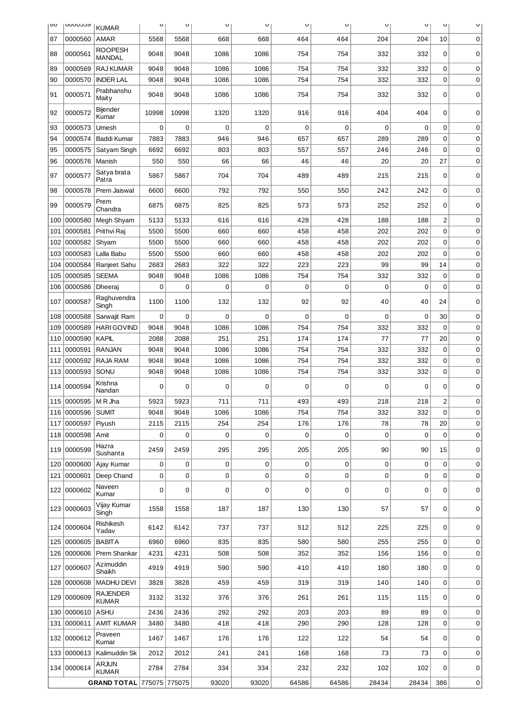| oo                 | <b>ACCONNO</b>     | <b>KUMAR</b>                       | $\cup$              | U           | U           | U        | U                 | $\cup$            | U       | $\cup$         | U              | U           |
|--------------------|--------------------|------------------------------------|---------------------|-------------|-------------|----------|-------------------|-------------------|---------|----------------|----------------|-------------|
| 87                 | 0000560            | AMAR                               | 5568                | 5568        | 668         | 668      | 464               | 464               | 204     | 204            | 10             | 0           |
| 88                 | 0000561            | <b>ROOPESH</b><br><b>MANDAL</b>    | 9048                | 9048        | 1086        | 1086     | 754               | 754               | 332     | 332            | 0              | 0           |
| 89                 | 0000569            | <b>RAJ KUMAR</b>                   | 9048                | 9048        | 1086        | 1086     | 754               | 754               | 332     | 332            | 0              | 0           |
| 90                 | 0000570            | <b>INDER LAL</b>                   | 9048                | 9048        | 1086        | 1086     | 754               | 754               | 332     | 332            | 0              | 0           |
| 91                 | 0000571            | Prabhanshu<br>Maity                | 9048                | 9048        | 1086        | 1086     | 754               | 754               | 332     | 332            | 0              | 0           |
| 92                 | 0000572            | Bijender<br>Kumar                  | 10998               | 10998       | 1320        | 1320     | 916               | 916               | 404     | 404            | 0              | 0           |
| 93                 | 0000573            | Umesh                              | $\mathbf 0$         | $\mathbf 0$ | $\mathbf 0$ | 0        | $\mathbf 0$       | $\mathbf 0$       | 0       | $\mathbf 0$    | 0              | 0           |
| 94                 | 0000574            | Baddi Kumar                        | 7883                | 7883        | 946         | 946      | 657               | 657               | 289     | 289            | 0              | 0           |
| 95                 | 0000575            | Satyam Singh                       | 6692                | 6692        | 803         | 803      | 557               | 557               | 246     | 246            | 0              | $\mathbf 0$ |
| 96                 | 0000576            | Manish                             | 550                 | 550         | 66          | 66       | 46                | 46                | 20      | 20             | 27             | 0           |
| 97                 | 0000577            | Satya brata<br>Patra               | 5867                | 5867        | 704         | 704      | 489               | 489               | 215     | 215            | 0              | $\mathbf 0$ |
| 98                 | 0000578            | Prem Jaiswal                       | 6600                | 6600        | 792         | 792      | 550               | 550               | 242     | 242            | 0              | 0           |
| 99                 | 0000579            | Prem<br>Chandra                    | 6875                | 6875        | 825         | 825      | 573               | 573               | 252     | 252            | 0              | $\mathbf 0$ |
| 100                | 0000580            | Megh Shyam                         | 5133                | 5133        | 616         | 616      | 428               | 428               | 188     | 188            | $\overline{c}$ | 0           |
| 101                | 0000581            | Prithvi Raj                        | 5500                | 5500        | 660         | 660      | 458               | 458               | 202     | 202            | 0              | 0           |
| 102                | 0000582            | Shyam                              | 5500                | 5500        | 660         | 660      | 458               | 458               | 202     | 202            | 0              | 0           |
| 103                | 0000583            | Lalla Babu                         | 5500                | 5500        | 660         | 660      | 458               | 458               | 202     | 202            | 0              | $\mathbf 0$ |
| 104                | 0000584            | Ranjeet Sahu                       | 2683                | 2683        | 322         | 322      | 223               | 223               | 99      | 99             | 14             | 0           |
| 105                | 0000585            | <b>SEEMA</b>                       | 9048                | 9048        | 1086        | 1086     | 754               | 754               | 332     | 332            | 0              | 0           |
| 106                | 0000586            | Dheeraj                            | 0                   | 0           | 0           | 0        | 0                 | 0                 | 0       | $\mathbf 0$    | 0              | $\mathbf 0$ |
| 107                | 0000587<br>0000588 | Raghuvendra<br>Singh               | 1100<br>$\mathbf 0$ | 1100<br>0   | 132<br>0    | 132<br>0 | 92<br>$\mathsf 0$ | 92<br>$\mathbf 0$ | 40<br>0 | 40<br>$\Omega$ | 24<br>30       | 0           |
| 108<br>109         | 0000589            | Sarwajit Ram<br><b>HARI GOVIND</b> | 9048                | 9048        | 1086        | 1086     | 754               | 754               | 332     | 332            | 0              | 0<br>0      |
| 110                | 0000590            | <b>KAPIL</b>                       | 2088                | 2088        | 251         | 251      | 174               | 174               | 77      | 77             | 20             | 0           |
| 111                | 0000591            | <b>RANJAN</b>                      | 9048                | 9048        | 1086        | 1086     | 754               | 754               | 332     | 332            | 0              | $\mathbf 0$ |
| 112                | 0000592            | RAJA RAM                           | 9048                | 9048        | 1086        | 1086     | 754               | 754               | 332     | 332            | 0              | 0           |
| 113                | 0000593            | SONU                               | 9048                | 9048        | 1086        | 1086     | 754               | 754               | 332     | 332            | 0              | 0           |
| 114                | 0000594            | Krishna<br>Nandan                  | 0                   | 0           | 0           | 0        | $\mathbf 0$       | 0                 | 0       | 0              | 0              | 0           |
| 115                | 0000595            | M R Jha                            | 5923                | 5923        | 711         | 711      | 493               | 493               | 218     | 218            | $\overline{c}$ | 0           |
| 116                | 0000596            | <b>SUMIT</b>                       | 9048                | 9048        | 1086        | 1086     | 754               | 754               | 332     | 332            | 0              | 0           |
| 117                | 0000597            | Piyush                             | 2115                | 2115        | 254         | 254      | 176               | 176               | 78      | 78             | 20             | 0           |
| 118                | 0000598            | Amit                               | $\mathbf 0$         | 0           | 0           | 0        | $\mathbf 0$       | 0                 | 0       | 0              | 0              | 0           |
| 119                | 0000599            | Hazra<br>Sushanta                  | 2459                | 2459        | 295         | 295      | 205               | 205               | 90      | 90             | 15             | 0           |
| 120                | 0000600            | Ajay Kumar                         | 0                   | 0           | 0           | 0        | 0                 | 0                 | 0       | 0              | 0              | 0           |
| 121                | 0000601            | Deep Chand                         | 0                   | 0           | 0           | 0        | $\mathbf 0$       | 0                 | 0       | 0              | 0              | 0           |
|                    | 122 0000602        | Naveen<br>Kumar                    | 0                   | 0           | 0           | 0        | $\mathbf 0$       | 0                 | 0       | 0              | 0              | 0           |
| 123                | 0000603            | Vijay Kumar<br>Singh               | 1558                | 1558        | 187         | 187      | 130               | 130               | 57      | 57             | 0              | 0           |
|                    | 124 0000604        | Rishikesh<br>Yadav                 | 6142                | 6142        | 737         | 737      | 512               | 512               | 225     | 225            | 0              | 0           |
| 125                | 0000605            | <b>BABITA</b>                      | 6960                | 6960        | 835         | 835      | 580               | 580               | 255     | 255            | 0              | 0           |
| 126                | 0000606            | Prem Shankar                       | 4231                | 4231        | 508         | 508      | 352               | 352               | 156     | 156            | 0              | 0           |
| 127                | 0000607            | Azimuddin<br>Shaikh                | 4919                | 4919        | 590         | 590      | 410               | 410               | 180     | 180            | 0              | 0           |
| 128                | 0000608            | <b>MADHU DEVI</b>                  | 3828                | 3828        | 459         | 459      | 319               | 319               | 140     | 140            | 0              | 0           |
| 129                | 0000609            | <b>RAJENDER</b><br><b>KUMAR</b>    | 3132                | 3132        | 376         | 376      | 261               | 261               | 115     | 115            | 0              | 0           |
| 130                | 0000610            | ASHU                               | 2436                | 2436        | 292         | 292      | 203               | 203               | 89      | 89             | 0              | $\mathbf 0$ |
| 131                | 0000611            | <b>AMIT KUMAR</b>                  | 3480                | 3480        | 418         | 418      | 290               | 290               | 128     | 128            | 0              | 0           |
| 132                | 0000612            | Praveen<br>Kumar                   | 1467                | 1467        | 176         | 176      | 122               | 122               | 54      | 54             | 0              | 0           |
| 133                | 0000613            | Kalimuddin Sk                      | 2012                | 2012        | 241         | 241      | 168               | 168               | 73      | 73             | 0              | 0           |
|                    | 134 0000614        | <b>ARJUN</b><br><b>KUMAR</b>       | 2784                | 2784        | 334         | 334      | 232               | 232               | 102     | 102            | 0              | 0           |
| <b>GRAND TOTAL</b> |                    | 775075 775075                      |                     | 93020       | 93020       | 64586    | 64586             | 28434             | 28434   | 386            | 0              |             |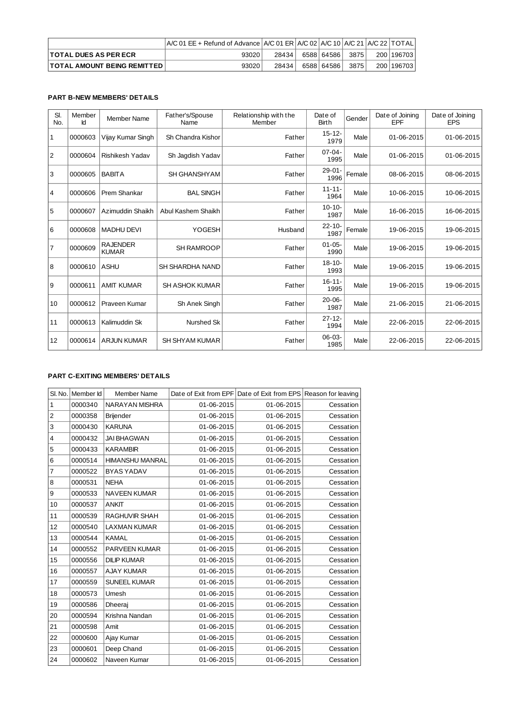|                                    | $\overline{ABCD}$ and $\overline{BC}$ are $\overline{BC}$ and $\overline{BC}$ and $\overline{BC}$ and $\overline{BC}$ and $\overline{BC}$ and $\overline{BC}$ and $\overline{BC}$ and $\overline{BC}$ and $\overline{BC}$ and $\overline{BC}$ and $\overline{BC}$ and $\overline{BC}$ and $\overline{BC}$ and $\overline{BC}$ and $\overline{BC}$ and |       |              |       |              |
|------------------------------------|-------------------------------------------------------------------------------------------------------------------------------------------------------------------------------------------------------------------------------------------------------------------------------------------------------------------------------------------------------|-------|--------------|-------|--------------|
| <b>TOTAL DUES AS PER ECR</b>       | 93020                                                                                                                                                                                                                                                                                                                                                 | 28434 | 6588 64586 1 | 38751 | 200   196703 |
| <b>TOTAL AMOUNT BEING REMITTED</b> | 93020                                                                                                                                                                                                                                                                                                                                                 | 28434 | 6588 64586 1 | 3875  | 200   196703 |

## **PART B-NEW MEMBERS' DETAILS**

| SI.<br>No. | Member<br>Id | <b>Member Name</b>              | Father's/Spouse<br>Name | Relationship with the<br>Member | Date of<br><b>Birth</b> | Gender | Date of Joining<br>EPF | Date of Joining<br><b>EPS</b> |
|------------|--------------|---------------------------------|-------------------------|---------------------------------|-------------------------|--------|------------------------|-------------------------------|
| $\vert$ 1  | 0000603      | Vijay Kumar Singh               | Sh Chandra Kishor       | Father                          | $15 - 12 -$<br>1979     | Male   | 01-06-2015             | 01-06-2015                    |
| 2          | 0000604      | Rishikesh Yadav                 | Sh Jaqdish Yadav        | Father                          | $07 - 04 -$<br>1995     | Male   | 01-06-2015             | 01-06-2015                    |
| 3          | 0000605      | <b>BABITA</b>                   | <b>SH GHANSHYAM</b>     | Father                          | $29 - 01 -$<br>1996     | Female | 08-06-2015             | 08-06-2015                    |
| 4          | 0000606      | Prem Shankar                    | <b>BAL SINGH</b>        | Father                          | $11 - 11 -$<br>1964     | Male   | 10-06-2015             | 10-06-2015                    |
| 5          | 0000607      | Azimuddin Shaikh                | Abul Kashem Shaikh      | Father                          | $10 - 10$<br>1987       | Male   | 16-06-2015             | 16-06-2015                    |
| 6          | 0000608      | <b>MADHU DEVI</b>               | YOGESH                  | Husband                         | $22 - 10$<br>1987       | Female | 19-06-2015             | 19-06-2015                    |
| 7          | 0000609      | <b>RAJENDER</b><br><b>KUMAR</b> | <b>SH RAMROOP</b>       | Father                          | $01 - 05 -$<br>1990     | Male   | 19-06-2015             | 19-06-2015                    |
| 8          | 0000610      | <b>ASHU</b>                     | SH SHARDHA NAND         | Father                          | $18 - 10 -$<br>1993     | Male   | 19-06-2015             | 19-06-2015                    |
| Ι9         | 0000611      | <b>AMIT KUMAR</b>               | <b>SH ASHOK KUMAR</b>   | Father                          | $16 - 11 -$<br>1995     | Male   | 19-06-2015             | 19-06-2015                    |
| 10         | 0000612      | Praveen Kumar                   | Sh Anek Singh           | Father                          | $20 - 06 -$<br>1987     | Male   | 21-06-2015             | 21-06-2015                    |
| 11         | 0000613      | Kalimuddin Sk                   | Nurshed Sk              | Father                          | $27 - 12 -$<br>1994     | Male   | 22-06-2015             | 22-06-2015                    |
| 12         | 0000614      | <b>ARJUN KUMAR</b>              | <b>SH SHYAM KUMAR</b>   | Father                          | $06 - 03 -$<br>1985     | Male   | 22-06-2015             | 22-06-2015                    |

## **PART C-EXITING MEMBERS' DETAILS**

| SI. No.        | Member Id | Member Name            |            | Date of Exit from EPF Date of Exit from EPS Reason for leaving |           |
|----------------|-----------|------------------------|------------|----------------------------------------------------------------|-----------|
| $\mathbf{1}$   | 0000340   | NARAYAN MISHRA         | 01-06-2015 | 01-06-2015                                                     | Cessation |
| $\overline{c}$ | 0000358   | <b>Brijender</b>       | 01-06-2015 | 01-06-2015                                                     | Cessation |
| 3              | 0000430   | <b>KARUNA</b>          | 01-06-2015 | 01-06-2015                                                     | Cessation |
| 4              | 0000432   | <b>JAI BHAGWAN</b>     | 01-06-2015 | 01-06-2015                                                     | Cessation |
| 5              | 0000433   | <b>KARAMBIR</b>        | 01-06-2015 | 01-06-2015                                                     | Cessation |
| 6              | 0000514   | <b>HIMANSHU MANRAL</b> | 01-06-2015 | 01-06-2015                                                     | Cessation |
| $\overline{7}$ | 0000522   | <b>BYAS YADAV</b>      | 01-06-2015 | 01-06-2015                                                     | Cessation |
| 8              | 0000531   | <b>NEHA</b>            | 01-06-2015 | 01-06-2015                                                     | Cessation |
| 9              | 0000533   | NAVEEN KUMAR           | 01-06-2015 | 01-06-2015                                                     | Cessation |
| 10             | 0000537   | <b>ANKIT</b>           | 01-06-2015 | 01-06-2015                                                     | Cessation |
| 11             | 0000539   | <b>RAGHUVIR SHAH</b>   | 01-06-2015 | 01-06-2015                                                     | Cessation |
| 12             | 0000540   | <b>LAXMAN KUMAR</b>    | 01-06-2015 | 01-06-2015                                                     | Cessation |
| 13             | 0000544   | <b>KAMAL</b>           | 01-06-2015 | 01-06-2015                                                     | Cessation |
| 14             | 0000552   | PARVEEN KUMAR          | 01-06-2015 | 01-06-2015                                                     | Cessation |
| 15             | 0000556   | <b>DILIP KUMAR</b>     | 01-06-2015 | 01-06-2015                                                     | Cessation |
| 16             | 0000557   | <b>AJAY KUMAR</b>      | 01-06-2015 | 01-06-2015                                                     | Cessation |
| 17             | 0000559   | <b>SUNEEL KUMAR</b>    | 01-06-2015 | 01-06-2015                                                     | Cessation |
| 18             | 0000573   | Umesh                  | 01-06-2015 | 01-06-2015                                                     | Cessation |
| 19             | 0000586   | Dheeraj                | 01-06-2015 | 01-06-2015                                                     | Cessation |
| 20             | 0000594   | Krishna Nandan         | 01-06-2015 | 01-06-2015                                                     | Cessation |
| 21             | 0000598   | Amit                   | 01-06-2015 | 01-06-2015                                                     | Cessation |
| 22             | 0000600   | Ajay Kumar             | 01-06-2015 | 01-06-2015                                                     | Cessation |
| 23             | 0000601   | Deep Chand             | 01-06-2015 | 01-06-2015                                                     | Cessation |
| 24             | 0000602   | Naveen Kumar           | 01-06-2015 | 01-06-2015                                                     | Cessation |